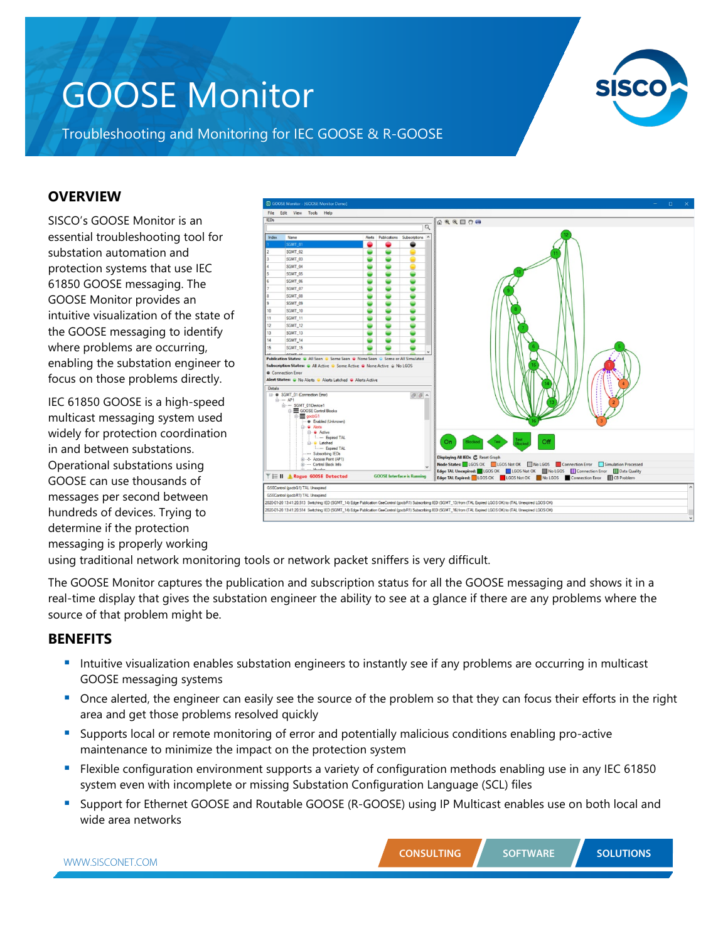# GOOSE Monitor



Troubleshooting and Monitoring for IEC GOOSE & R-GOOSE

### **OVERVIEW**

SISCO's GOOSE Monitor is an essential troubleshooting tool for substation automation and protection systems that use IEC 61850 GOOSE messaging. The GOOSE Monitor provides an intuitive visualization of the state of the GOOSE messaging to identify where problems are occurring, enabling the substation engineer to focus on those problems directly.

IEC 61850 GOOSE is a high-speed multicast messaging system used widely for protection coordination in and between substations. Operational substations using GOOSE can use thousands of messages per second between hundreds of devices. Trying to determine if the protection messaging is properly working



using traditional network monitoring tools or network packet sniffers is very difficult.

The GOOSE Monitor captures the publication and subscription status for all the GOOSE messaging and shows it in a real-time display that gives the substation engineer the ability to see at a glance if there are any problems where the source of that problem might be.

#### **BENEFITS**

- Intuitive visualization enables substation engineers to instantly see if any problems are occurring in multicast GOOSE messaging systems
- Once alerted, the engineer can easily see the source of the problem so that they can focus their efforts in the right area and get those problems resolved quickly
- Supports local or remote monitoring of error and potentially malicious conditions enabling pro-active maintenance to minimize the impact on the protection system
- Flexible configuration environment supports a variety of configuration methods enabling use in any IEC 61850 system even with incomplete or missing Substation Configuration Language (SCL) files
- Support for Ethernet GOOSE and Routable GOOSE (R-GOOSE) using IP Multicast enables use on both local and wide area networks

| <b>CONSULTING</b> | <b>SOFTWARE</b> |
|-------------------|-----------------|
|                   |                 |

**SOLUTIONS**